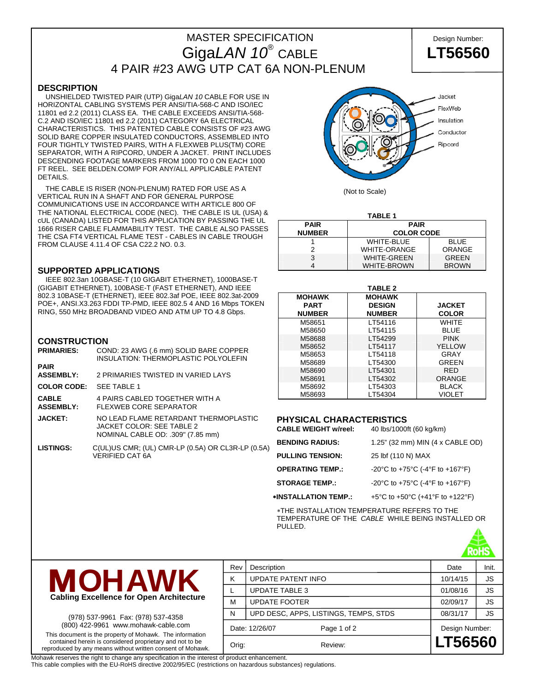# MASTER SPECIFICATION **Design Number:** Giga*LAN 10*® CABLE **LT56560** 4 PAIR #23 AWG UTP CAT 6A NON-PLENUM

### **DESCRIPTION**

 UNSHIELDED TWISTED PAIR (UTP) Giga*LAN 10* CABLE FOR USE IN HORIZONTAL CABLING SYSTEMS PER ANSI/TIA-568-C AND ISO/IEC 11801 ed 2.2 (2011) CLASS EA. THE CABLE EXCEEDS ANSI/TIA-568- C.2 AND ISO/IEC 11801 ed 2.2 (2011) CATEGORY 6A ELECTRICAL CHARACTERISTICS. THIS PATENTED CABLE CONSISTS OF #23 AWG SOLID BARE COPPER INSULATED CONDUCTORS, ASSEMBLED INTO FOUR TIGHTLY TWISTED PAIRS, WITH A FLEXWEB PLUS(TM) CORE SEPARATOR, WITH A RIPCORD, UNDER A JACKET. PRINT INCLUDES DESCENDING FOOTAGE MARKERS FROM 1000 TO 0 ON EACH 1000 FT REEL. SEE BELDEN.COM/P FOR ANY/ALL APPLICABLE PATENT DETAILS.

 THE CABLE IS RISER (NON-PLENUM) RATED FOR USE AS A VERTICAL RUN IN A SHAFT AND FOR GENERAL PURPOSE COMMUNICATIONS USE IN ACCORDANCE WITH ARTICLE 800 OF THE NATIONAL ELECTRICAL CODE (NEC). THE CABLE IS UL (USA) & cUL (CANADA) LISTED FOR THIS APPLICATION BY PASSING THE UL 1666 RISER CABLE FLAMMABILITY TEST. THE CABLE ALSO PASSES THE CSA FT4 VERTICAL FLAME TEST - CABLES IN CABLE TROUGH FROM CLAUSE 4.11.4 OF CSA C22.2 NO. 0.3.

#### **SUPPORTED APPLICATIONS**

 IEEE 802.3an 10GBASE-T (10 GIGABIT ETHERNET), 1000BASE-T (GIGABIT ETHERNET), 100BASE-T (FAST ETHERNET), AND IEEE 802.3 10BASE-T (ETHERNET), IEEE 802.3af POE, IEEE 802.3at-2009 POE+, ANSI.X3.263 FDDI TP-PMD, IEEE 802.5 4 AND 16 Mbps TOKEN RING, 550 MHz BROADBAND VIDEO AND ATM UP TO 4.8 Gbps.

#### **CONSTRUCTION**

| <b>PRIMARIES:</b>                | COND: 23 AWG (.6 mm) SOLID BARE COPPER<br>INSULATION: THERMOPLASTIC POLYOLEFIN                          |
|----------------------------------|---------------------------------------------------------------------------------------------------------|
| <b>PAIR</b><br><b>ASSEMBLY:</b>  | 2 PRIMARIES TWISTED IN VARIED LAYS                                                                      |
| <b>COLOR CODE:</b>               | <b>SEE TABLE 1</b>                                                                                      |
| <b>CABLE</b><br><b>ASSEMBLY:</b> | 4 PAIRS CABLED TOGETHER WITH A<br><b>FLEXWEB CORE SEPARATOR</b>                                         |
| <b>JACKET:</b>                   | NO LEAD FLAME RETARDANT THERMOPLASTIC<br>JACKET COLOR: SEE TABLE 2<br>NOMINAL CABLE OD: .309" (7.85 mm) |
| <b>LISTINGS:</b>                 | C(UL)US CMR; (UL) CMR-LP (0.5A) OR CL3R-LP (0.5A)<br><b>VERIFIED CAT 6A</b>                             |



(Not to Scale)

| TABLE 1                    |                     |              |  |  |  |
|----------------------------|---------------------|--------------|--|--|--|
| <b>PAIR</b><br><b>PAIR</b> |                     |              |  |  |  |
| <b>NUMBER</b>              | <b>COLOR CODE</b>   |              |  |  |  |
|                            | WHITE-BLUE          | <b>BLUE</b>  |  |  |  |
|                            | <b>WHITE-ORANGE</b> | ORANGE       |  |  |  |
| 3                          | <b>WHITE-GREEN</b>  | <b>GREEN</b> |  |  |  |
|                            | <b>WHITE-BROWN</b>  | <b>BROWN</b> |  |  |  |

| <b>TABLE 2</b>                                |                                                 |                               |  |  |  |
|-----------------------------------------------|-------------------------------------------------|-------------------------------|--|--|--|
| <b>MOHAWK</b><br><b>PART</b><br><b>NUMBER</b> | <b>MOHAWK</b><br><b>DESIGN</b><br><b>NUMBER</b> | <b>JACKET</b><br><b>COLOR</b> |  |  |  |
| M58651                                        | LT54116                                         | WHITF                         |  |  |  |
| M58650                                        | LT54115                                         | <b>BLUE</b>                   |  |  |  |
| M58688                                        | LT54299                                         | <b>PINK</b>                   |  |  |  |
| M58652                                        | LT54117                                         | YELLOW                        |  |  |  |
| M58653                                        | LT54118                                         | GRAY                          |  |  |  |
| M58689                                        | LT54300                                         | <b>GREEN</b>                  |  |  |  |
| M58690                                        | LT54301                                         | <b>RED</b>                    |  |  |  |
| M58691                                        | LT54302                                         | <b>ORANGE</b>                 |  |  |  |
| M58692                                        | LT54303                                         | <b>BLACK</b>                  |  |  |  |
| M58693                                        | LT54304                                         | <b>VIOLET</b>                 |  |  |  |

### **PHYSICAL CHARACTERISTICS**

**CABLE WEIGHT w/reel:** 40 lbs/1000ft (60 kg/km)

| <b>BENDING RADIUS:</b>  | 1.25" (32 mm) MIN (4 x CABLE OD) |
|-------------------------|----------------------------------|
| <b>PULLING TENSION:</b> | 25 lbf (110 N) MAX               |
| <b>OPERATING TEMP.:</b> | -20°C to +75°C (-4°F to +167°F)  |
| <b>STORAGE TEMP.:</b>   | -20°C to +75°C (-4°F to +167°F)  |
| *INSTALLATION TEMP.:    | +5°C to +50°C (+41°F to +122°F)  |

∗THE INSTALLATION TEMPERATURE REFERS TO THE TEMPERATURE OF THE *CABLE* WHILE BEING INSTALLED OR PULLED.





(978) 537-9961 Fax: (978) 537-4358 (800) 422-9961 www.mohawk-cable.com This document is the property of Mohawk. The information contained herein is considered proprietary and not to be reproduced by any means without written consent of Mohawk.

Rev Description **Date** Init. K UPDATE PATENT INFO 10/14/15 SS L UPDATE TABLE 3 01/08/16 JS M UPDATE FOOTER  $\vert$  02/09/17  $\vert$  JS N UPD DESC, APPS, LISTINGS, TEMPS, STDS | 08/31/17 | JS Date: 12/26/07 Page 1 of 2 Design Number: Orig: Review: **LT56560**

Mohawk reserves the right to change any specification in the interest of product enhancement.

This cable complies with the EU-RoHS directive 2002/95/EC (restrictions on hazardous substances) regulations.